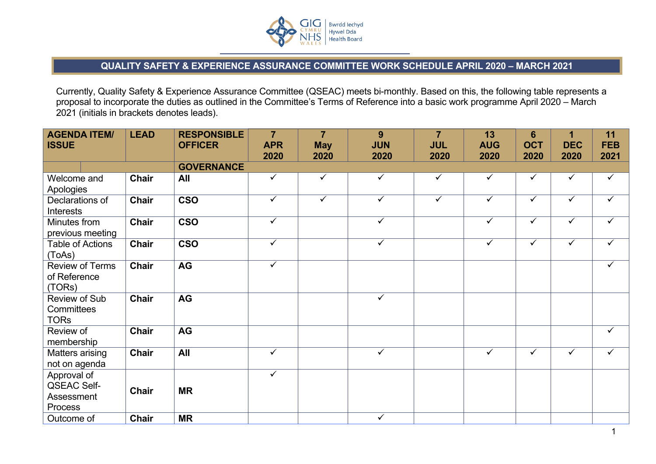

## **QUALITY SAFETY & EXPERIENCE ASSURANCE COMMITTEE WORK SCHEDULE APRIL 2020 – MARCH 2021**

Currently, Quality Safety & Experience Assurance Committee (QSEAC) meets bi-monthly. Based on this, the following table represents a proposal to incorporate the duties as outlined in the Committee's Terms of Reference into a basic work programme April 2020 – March 2021 (initials in brackets denotes leads).

| <b>AGENDA ITEM/</b><br><b>ISSUE</b>                        | <b>LEAD</b>  | <b>RESPONSIBLE</b><br><b>OFFICER</b> | $\overline{7}$<br><b>APR</b><br>2020 | $\overline{7}$<br><b>May</b><br>2020 | 9<br><b>JUN</b><br>2020 | $\overline{7}$<br><b>JUL</b><br>2020 | 13<br><b>AUG</b><br>2020 | $6\phantom{1}6$<br><b>OCT</b><br>2020 | 1<br><b>DEC</b><br>2020 | 11<br><b>FEB</b><br>2021 |
|------------------------------------------------------------|--------------|--------------------------------------|--------------------------------------|--------------------------------------|-------------------------|--------------------------------------|--------------------------|---------------------------------------|-------------------------|--------------------------|
|                                                            |              | <b>GOVERNANCE</b>                    |                                      |                                      |                         |                                      |                          |                                       |                         |                          |
| Welcome and<br>Apologies                                   | <b>Chair</b> | All                                  | $\checkmark$                         | $\checkmark$                         | $\checkmark$            | $\checkmark$                         | $\checkmark$             | ✓                                     | $\checkmark$            | $\checkmark$             |
| Declarations of<br>Interests                               | <b>Chair</b> | <b>CSO</b>                           | $\checkmark$                         | $\checkmark$                         | $\checkmark$            | $\checkmark$                         | $\checkmark$             | $\checkmark$                          | $\checkmark$            | $\checkmark$             |
| Minutes from<br>previous meeting                           | <b>Chair</b> | <b>CSO</b>                           | $\checkmark$                         |                                      | $\overline{\checkmark}$ |                                      | $\checkmark$             | $\checkmark$                          | $\overline{\checkmark}$ | $\checkmark$             |
| <b>Table of Actions</b><br>(ToAs)                          | <b>Chair</b> | <b>CSO</b>                           | $\checkmark$                         |                                      | $\checkmark$            |                                      | $\checkmark$             | $\checkmark$                          | $\checkmark$            | $\checkmark$             |
| <b>Review of Terms</b><br>of Reference<br>(TORs)           | <b>Chair</b> | <b>AG</b>                            | $\overline{\checkmark}$              |                                      |                         |                                      |                          |                                       |                         | $\checkmark$             |
| Review of Sub<br>Committees<br><b>TORs</b>                 | <b>Chair</b> | <b>AG</b>                            |                                      |                                      | $\overline{\checkmark}$ |                                      |                          |                                       |                         |                          |
| Review of<br>membership                                    | <b>Chair</b> | AG                                   |                                      |                                      |                         |                                      |                          |                                       |                         | $\checkmark$             |
| Matters arising<br>not on agenda                           | <b>Chair</b> | All                                  | $\checkmark$                         |                                      | $\checkmark$            |                                      | $\checkmark$             | $\checkmark$                          | $\checkmark$            | $\checkmark$             |
| Approval of<br><b>QSEAC Self-</b><br>Assessment<br>Process | <b>Chair</b> | <b>MR</b>                            | $\checkmark$                         |                                      |                         |                                      |                          |                                       |                         |                          |
| Outcome of                                                 | <b>Chair</b> | <b>MR</b>                            |                                      |                                      | $\checkmark$            |                                      |                          |                                       |                         |                          |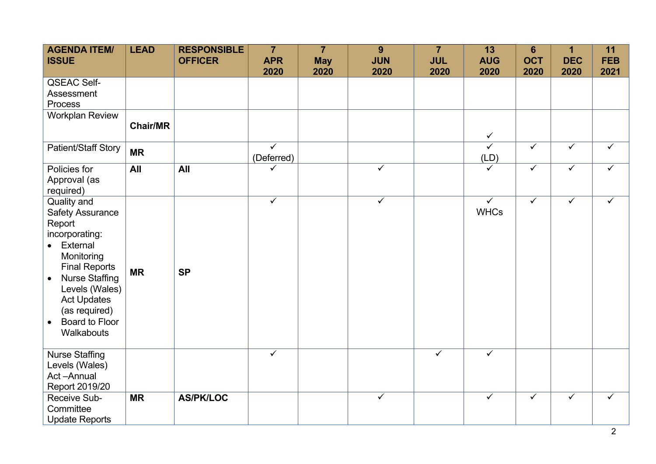| <b>AGENDA ITEM/</b><br><b>ISSUE</b> | <b>LEAD</b>     | <b>RESPONSIBLE</b><br><b>OFFICER</b> | $\overline{7}$<br><b>APR</b> | $\overline{7}$<br><b>May</b> | 9<br><b>JUN</b>         | $\overline{7}$<br><b>JUL</b> | 13<br><b>AUG</b>        | $6\phantom{1}6$<br><b>OCT</b> | $\mathbf 1$<br><b>DEC</b> | 11<br><b>FEB</b> |
|-------------------------------------|-----------------|--------------------------------------|------------------------------|------------------------------|-------------------------|------------------------------|-------------------------|-------------------------------|---------------------------|------------------|
|                                     |                 |                                      | 2020                         | 2020                         | 2020                    | 2020                         | 2020                    | 2020                          | 2020                      | 2021             |
| <b>QSEAC Self-</b>                  |                 |                                      |                              |                              |                         |                              |                         |                               |                           |                  |
| Assessment                          |                 |                                      |                              |                              |                         |                              |                         |                               |                           |                  |
| Process                             |                 |                                      |                              |                              |                         |                              |                         |                               |                           |                  |
| <b>Workplan Review</b>              | <b>Chair/MR</b> |                                      |                              |                              |                         |                              |                         |                               |                           |                  |
|                                     |                 |                                      |                              |                              |                         |                              | $\checkmark$            |                               |                           |                  |
| Patient/Staff Story                 | <b>MR</b>       |                                      | $\overline{\checkmark}$      |                              |                         |                              | $\overline{\checkmark}$ | $\overline{\checkmark}$       | $\overline{\checkmark}$   | $\checkmark$     |
|                                     |                 |                                      | (Deferred)                   |                              |                         |                              | (LD)                    |                               |                           |                  |
| Policies for                        | All             | All                                  | ✓                            |                              | $\checkmark$            |                              | $\checkmark$            | $\checkmark$                  | $\checkmark$              | $\checkmark$     |
| Approval (as                        |                 |                                      |                              |                              |                         |                              |                         |                               |                           |                  |
| required)                           |                 |                                      | $\checkmark$                 |                              | $\overline{\checkmark}$ |                              | $\overline{\checkmark}$ | $\overline{\checkmark}$       | $\overline{\checkmark}$   |                  |
| Quality and                         |                 |                                      |                              |                              |                         |                              | <b>WHCs</b>             |                               |                           | $\checkmark$     |
| <b>Safety Assurance</b><br>Report   |                 |                                      |                              |                              |                         |                              |                         |                               |                           |                  |
| incorporating:                      |                 |                                      |                              |                              |                         |                              |                         |                               |                           |                  |
| External<br>$\bullet$               |                 |                                      |                              |                              |                         |                              |                         |                               |                           |                  |
| Monitoring                          |                 |                                      |                              |                              |                         |                              |                         |                               |                           |                  |
| <b>Final Reports</b>                |                 |                                      |                              |                              |                         |                              |                         |                               |                           |                  |
| <b>Nurse Staffing</b><br>$\bullet$  | <b>MR</b>       | <b>SP</b>                            |                              |                              |                         |                              |                         |                               |                           |                  |
| Levels (Wales)                      |                 |                                      |                              |                              |                         |                              |                         |                               |                           |                  |
| <b>Act Updates</b>                  |                 |                                      |                              |                              |                         |                              |                         |                               |                           |                  |
| (as required)                       |                 |                                      |                              |                              |                         |                              |                         |                               |                           |                  |
| Board to Floor<br>$\bullet$         |                 |                                      |                              |                              |                         |                              |                         |                               |                           |                  |
| Walkabouts                          |                 |                                      |                              |                              |                         |                              |                         |                               |                           |                  |
| <b>Nurse Staffing</b>               |                 |                                      | $\checkmark$                 |                              |                         | $\checkmark$                 | $\overline{\checkmark}$ |                               |                           |                  |
| Levels (Wales)                      |                 |                                      |                              |                              |                         |                              |                         |                               |                           |                  |
| Act-Annual                          |                 |                                      |                              |                              |                         |                              |                         |                               |                           |                  |
| Report 2019/20                      |                 |                                      |                              |                              |                         |                              |                         |                               |                           |                  |
| Receive Sub-                        | <b>MR</b>       | <b>AS/PK/LOC</b>                     |                              |                              | $\overline{\checkmark}$ |                              | $\checkmark$            | $\checkmark$                  | $\checkmark$              | $\checkmark$     |
| Committee                           |                 |                                      |                              |                              |                         |                              |                         |                               |                           |                  |
| <b>Update Reports</b>               |                 |                                      |                              |                              |                         |                              |                         |                               |                           |                  |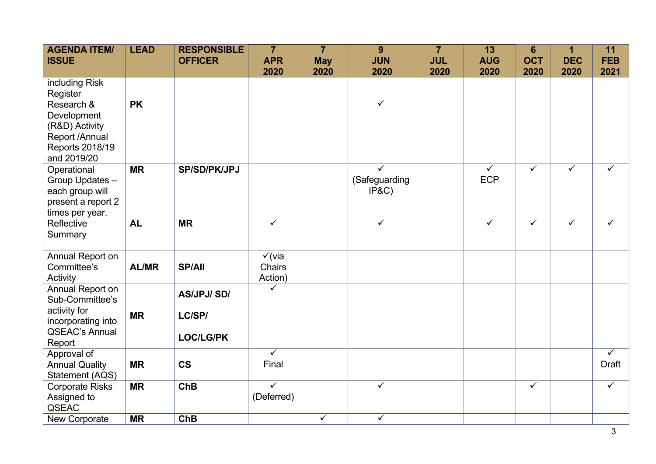| <b>AGENDA ITEM/</b><br><b>ISSUE</b>                                                                          | <b>LEAD</b>  | <b>RESPONSIBLE</b><br><b>OFFICER</b>            | $\overline{7}$<br><b>APR</b><br>2020   | $\overline{7}$<br><b>May</b> | 9<br><b>JUN</b>                                   | $\overline{7}$<br><b>JUL</b> | 13<br><b>AUG</b><br>2020              | $6\phantom{1}6$<br><b>OCT</b> | 1<br><b>DEC</b>         | 11<br><b>FEB</b>                 |
|--------------------------------------------------------------------------------------------------------------|--------------|-------------------------------------------------|----------------------------------------|------------------------------|---------------------------------------------------|------------------------------|---------------------------------------|-------------------------------|-------------------------|----------------------------------|
| including Risk<br>Register                                                                                   |              |                                                 |                                        | 2020                         | 2020                                              | 2020                         |                                       | 2020                          | 2020                    | 2021                             |
| Research &<br>Development<br>(R&D) Activity<br>Report /Annual<br>Reports 2018/19<br>and 2019/20              | <b>PK</b>    |                                                 |                                        |                              | $\checkmark$                                      |                              |                                       |                               |                         |                                  |
| Operational<br>Group Updates -<br>each group will<br>present a report 2<br>times per year.                   | <b>MR</b>    | <b>SP/SD/PK/JPJ</b>                             |                                        |                              | $\overline{\checkmark}$<br>(Safeguarding<br>IP&C) |                              | $\overline{\checkmark}$<br><b>ECP</b> | $\overline{\checkmark}$       | $\overline{\checkmark}$ | $\checkmark$                     |
| Reflective<br>Summary                                                                                        | <b>AL</b>    | <b>MR</b>                                       | $\checkmark$                           |                              | $\overline{\checkmark}$                           |                              | $\checkmark$                          | $\checkmark$                  | $\checkmark$            | $\checkmark$                     |
| Annual Report on<br>Committee's<br>Activity                                                                  | <b>AL/MR</b> | <b>SP/All</b>                                   | $\checkmark$ (via<br>Chairs<br>Action) |                              |                                                   |                              |                                       |                               |                         |                                  |
| Annual Report on<br>Sub-Committee's<br>activity for<br>incorporating into<br><b>QSEAC's Annual</b><br>Report | <b>MR</b>    | <b>AS/JPJ/SD/</b><br>LC/SP/<br><b>LOC/LG/PK</b> | ✓                                      |                              |                                                   |                              |                                       |                               |                         |                                  |
| Approval of<br><b>Annual Quality</b><br>Statement (AQS)                                                      | <b>MR</b>    | <b>CS</b>                                       | $\overline{\checkmark}$<br>Final       |                              |                                                   |                              |                                       |                               |                         | $\overline{\checkmark}$<br>Draft |
| <b>Corporate Risks</b><br>Assigned to<br><b>QSEAC</b>                                                        | <b>MR</b>    | <b>ChB</b>                                      | $\overline{\checkmark}$<br>(Deferred)  |                              | $\checkmark$                                      |                              |                                       | $\checkmark$                  |                         | $\checkmark$                     |
| <b>New Corporate</b>                                                                                         | <b>MR</b>    | ChB                                             |                                        | $\checkmark$                 | $\checkmark$                                      |                              |                                       |                               |                         |                                  |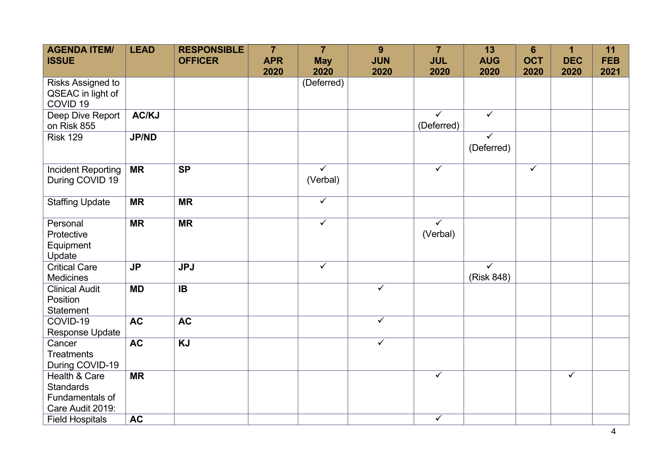| <b>AGENDA ITEM/</b><br><b>ISSUE</b>                                      | <b>LEAD</b>    | <b>RESPONSIBLE</b><br><b>OFFICER</b> | $\overline{7}$<br><b>APR</b> | $\overline{7}$<br><b>May</b>        | 9<br><b>JUN</b>         | $\overline{7}$<br><b>JUL</b>          | 13<br><b>AUG</b>                      | $6\phantom{1}6$<br><b>OCT</b> | 1<br><b>DEC</b> | 11<br><b>FEB</b> |
|--------------------------------------------------------------------------|----------------|--------------------------------------|------------------------------|-------------------------------------|-------------------------|---------------------------------------|---------------------------------------|-------------------------------|-----------------|------------------|
|                                                                          |                |                                      | 2020                         | 2020                                | 2020                    | 2020                                  | 2020                                  | 2020                          | 2020            | 2021             |
| Risks Assigned to<br>QSEAC in light of<br>COVID <sub>19</sub>            |                |                                      |                              | (Deferred)                          |                         |                                       |                                       |                               |                 |                  |
| Deep Dive Report<br>on Risk 855                                          | AC/KJ          |                                      |                              |                                     |                         | $\overline{\checkmark}$<br>(Deferred) | $\overline{\checkmark}$               |                               |                 |                  |
| <b>Risk 129</b>                                                          | <b>JP/ND</b>   |                                      |                              |                                     |                         |                                       | $\checkmark$<br>(Deferred)            |                               |                 |                  |
| Incident Reporting<br>During COVID 19                                    | <b>MR</b>      | <b>SP</b>                            |                              | $\overline{\checkmark}$<br>(Verbal) |                         | $\checkmark$                          |                                       | $\overline{\checkmark}$       |                 |                  |
| <b>Staffing Update</b>                                                   | <b>MR</b>      | <b>MR</b>                            |                              | $\checkmark$                        |                         |                                       |                                       |                               |                 |                  |
| Personal<br>Protective<br>Equipment<br>Update                            | <b>MR</b>      | <b>MR</b>                            |                              | $\overline{\checkmark}$             |                         | $\checkmark$<br>(Verbal)              |                                       |                               |                 |                  |
| <b>Critical Care</b><br>Medicines                                        | J <sub>P</sub> | <b>JPJ</b>                           |                              | $\overline{\checkmark}$             |                         |                                       | $\overline{\checkmark}$<br>(Risk 848) |                               |                 |                  |
| <b>Clinical Audit</b><br>Position<br><b>Statement</b>                    | <b>MD</b>      | $\overline{B}$                       |                              |                                     | $\overline{\checkmark}$ |                                       |                                       |                               |                 |                  |
| COVID-19<br>Response Update                                              | <b>AC</b>      | <b>AC</b>                            |                              |                                     | $\checkmark$            |                                       |                                       |                               |                 |                  |
| Cancer<br><b>Treatments</b><br>During COVID-19                           | <b>AC</b>      | <b>KJ</b>                            |                              |                                     | $\overline{\checkmark}$ |                                       |                                       |                               |                 |                  |
| Health & Care<br><b>Standards</b><br>Fundamentals of<br>Care Audit 2019: | <b>MR</b>      |                                      |                              |                                     |                         | $\checkmark$                          |                                       |                               | $\checkmark$    |                  |
| <b>Field Hospitals</b>                                                   | <b>AC</b>      |                                      |                              |                                     |                         | $\overline{\checkmark}$               |                                       |                               |                 |                  |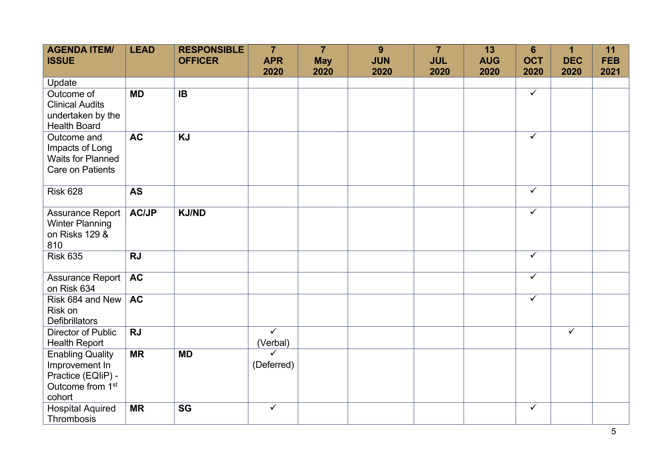| <b>AGENDA ITEM/</b><br><b>ISSUE</b>                                                                       | <b>LEAD</b>  | <b>RESPONSIBLE</b><br><b>OFFICER</b> | $\overline{7}$<br><b>APR</b>        | $\overline{7}$<br><b>May</b> | 9<br><b>JUN</b> | $\overline{7}$<br><b>JUL</b> | 13<br><b>AUG</b> | $6\phantom{1}6$<br><b>OCT</b> | $\mathbf 1$<br><b>DEC</b> | 11<br><b>FEB</b> |
|-----------------------------------------------------------------------------------------------------------|--------------|--------------------------------------|-------------------------------------|------------------------------|-----------------|------------------------------|------------------|-------------------------------|---------------------------|------------------|
|                                                                                                           |              |                                      | 2020                                | 2020                         | 2020            | 2020                         | 2020             | 2020                          | 2020                      | 2021             |
| Update<br>Outcome of<br><b>Clinical Audits</b><br>undertaken by the<br><b>Health Board</b>                | <b>MD</b>    | $\overline{IB}$                      |                                     |                              |                 |                              |                  | $\overline{\checkmark}$       |                           |                  |
| Outcome and<br>Impacts of Long<br><b>Waits for Planned</b><br><b>Care on Patients</b>                     | <b>AC</b>    | <b>KJ</b>                            |                                     |                              |                 |                              |                  | $\checkmark$                  |                           |                  |
| <b>Risk 628</b>                                                                                           | <b>AS</b>    |                                      |                                     |                              |                 |                              |                  | $\overline{\checkmark}$       |                           |                  |
| Assurance Report<br><b>Winter Planning</b><br>on Risks 129 &<br>810                                       | <b>AC/JP</b> | <b>KJ/ND</b>                         |                                     |                              |                 |                              |                  | $\checkmark$                  |                           |                  |
| <b>Risk 635</b>                                                                                           | <b>RJ</b>    |                                      |                                     |                              |                 |                              |                  | $\overline{\checkmark}$       |                           |                  |
| Assurance Report<br>on Risk 634                                                                           | <b>AC</b>    |                                      |                                     |                              |                 |                              |                  | $\checkmark$                  |                           |                  |
| Risk 684 and New<br>Risk on<br><b>Defibrillators</b>                                                      | <b>AC</b>    |                                      |                                     |                              |                 |                              |                  | $\checkmark$                  |                           |                  |
| <b>Director of Public</b><br><b>Health Report</b>                                                         | <b>RJ</b>    |                                      | $\overline{\checkmark}$<br>(Verbal) |                              |                 |                              |                  |                               | $\overline{\checkmark}$   |                  |
| <b>Enabling Quality</b><br>Improvement In<br>Practice (EQIiP) -<br>Outcome from 1 <sup>st</sup><br>cohort | <b>MR</b>    | <b>MD</b>                            | $\checkmark$<br>(Deferred)          |                              |                 |                              |                  |                               |                           |                  |
| <b>Hospital Aquired</b><br>Thrombosis                                                                     | <b>MR</b>    | <b>SG</b>                            | $\overline{\checkmark}$             |                              |                 |                              |                  | $\checkmark$                  |                           |                  |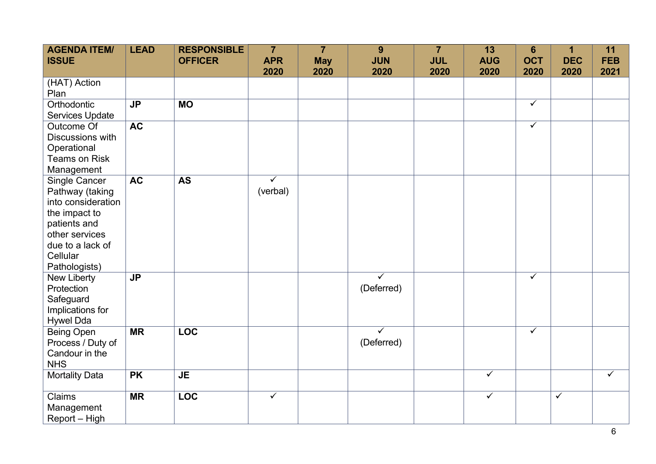| <b>AGENDA ITEM/</b><br><b>ISSUE</b> | <b>LEAD</b> | <b>RESPONSIBLE</b><br><b>OFFICER</b> | $\overline{7}$<br><b>APR</b> | $\overline{7}$<br><b>May</b> | 9<br><b>JUN</b>         | $\overline{7}$<br><b>JUL</b> | 13<br><b>AUG</b> | $6\phantom{1}6$<br><b>OCT</b> | 1<br><b>DEC</b> | 11<br><b>FEB</b> |
|-------------------------------------|-------------|--------------------------------------|------------------------------|------------------------------|-------------------------|------------------------------|------------------|-------------------------------|-----------------|------------------|
| (HAT) Action                        |             |                                      | 2020                         | 2020                         | 2020                    | 2020                         | 2020             | 2020                          | 2020            | 2021             |
| Plan                                |             |                                      |                              |                              |                         |                              |                  |                               |                 |                  |
| Orthodontic                         | <b>JP</b>   | <b>MO</b>                            |                              |                              |                         |                              |                  | $\checkmark$                  |                 |                  |
| Services Update                     |             |                                      |                              |                              |                         |                              |                  |                               |                 |                  |
| Outcome Of                          | <b>AC</b>   |                                      |                              |                              |                         |                              |                  | $\checkmark$                  |                 |                  |
| Discussions with                    |             |                                      |                              |                              |                         |                              |                  |                               |                 |                  |
| Operational                         |             |                                      |                              |                              |                         |                              |                  |                               |                 |                  |
| <b>Teams on Risk</b>                |             |                                      |                              |                              |                         |                              |                  |                               |                 |                  |
| Management                          |             |                                      |                              |                              |                         |                              |                  |                               |                 |                  |
| Single Cancer                       | <b>AC</b>   | <b>AS</b>                            | $\checkmark$                 |                              |                         |                              |                  |                               |                 |                  |
| Pathway (taking                     |             |                                      | (verbal)                     |                              |                         |                              |                  |                               |                 |                  |
| into consideration                  |             |                                      |                              |                              |                         |                              |                  |                               |                 |                  |
| the impact to                       |             |                                      |                              |                              |                         |                              |                  |                               |                 |                  |
| patients and                        |             |                                      |                              |                              |                         |                              |                  |                               |                 |                  |
| other services                      |             |                                      |                              |                              |                         |                              |                  |                               |                 |                  |
| due to a lack of                    |             |                                      |                              |                              |                         |                              |                  |                               |                 |                  |
| Cellular                            |             |                                      |                              |                              |                         |                              |                  |                               |                 |                  |
| Pathologists)<br>New Liberty        | <b>JP</b>   |                                      |                              |                              | $\overline{\checkmark}$ |                              |                  | $\checkmark$                  |                 |                  |
| Protection                          |             |                                      |                              |                              | (Deferred)              |                              |                  |                               |                 |                  |
| Safeguard                           |             |                                      |                              |                              |                         |                              |                  |                               |                 |                  |
| Implications for                    |             |                                      |                              |                              |                         |                              |                  |                               |                 |                  |
| <b>Hywel Dda</b>                    |             |                                      |                              |                              |                         |                              |                  |                               |                 |                  |
| <b>Being Open</b>                   | <b>MR</b>   | <b>LOC</b>                           |                              |                              | $\overline{\checkmark}$ |                              |                  | $\checkmark$                  |                 |                  |
| Process / Duty of                   |             |                                      |                              |                              | (Deferred)              |                              |                  |                               |                 |                  |
| Candour in the                      |             |                                      |                              |                              |                         |                              |                  |                               |                 |                  |
| <b>NHS</b>                          |             |                                      |                              |                              |                         |                              |                  |                               |                 |                  |
| <b>Mortality Data</b>               | <b>PK</b>   | <b>JE</b>                            |                              |                              |                         |                              | $\checkmark$     |                               |                 | $\checkmark$     |
| Claims                              | <b>MR</b>   | <b>LOC</b>                           | $\checkmark$                 |                              |                         |                              | $\checkmark$     |                               | $\checkmark$    |                  |
| Management                          |             |                                      |                              |                              |                         |                              |                  |                               |                 |                  |
| Report - High                       |             |                                      |                              |                              |                         |                              |                  |                               |                 |                  |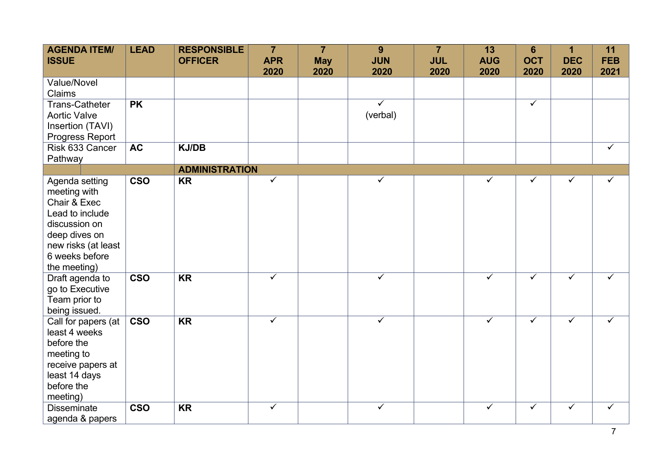| <b>AGENDA ITEM/</b><br><b>ISSUE</b> | <b>LEAD</b> | <b>RESPONSIBLE</b><br><b>OFFICER</b> | $\overline{7}$<br><b>APR</b><br>2020 | $\overline{7}$<br><b>May</b><br>2020 | 9<br><b>JUN</b><br>2020 | $\overline{7}$<br><b>JUL</b><br>2020 | 13<br><b>AUG</b><br>2020 | $6\phantom{1}$<br><b>OCT</b><br>2020 | 1<br><b>DEC</b><br>2020 | 11<br><b>FEB</b><br>2021 |
|-------------------------------------|-------------|--------------------------------------|--------------------------------------|--------------------------------------|-------------------------|--------------------------------------|--------------------------|--------------------------------------|-------------------------|--------------------------|
| <b>Value/Novel</b>                  |             |                                      |                                      |                                      |                         |                                      |                          |                                      |                         |                          |
| Claims                              |             |                                      |                                      |                                      |                         |                                      |                          |                                      |                         |                          |
| <b>Trans-Catheter</b>               | <b>PK</b>   |                                      |                                      |                                      | $\overline{\checkmark}$ |                                      |                          | $\checkmark$                         |                         |                          |
| <b>Aortic Valve</b>                 |             |                                      |                                      |                                      | (verbal)                |                                      |                          |                                      |                         |                          |
| Insertion (TAVI)                    |             |                                      |                                      |                                      |                         |                                      |                          |                                      |                         |                          |
| Progress Report                     |             |                                      |                                      |                                      |                         |                                      |                          |                                      |                         |                          |
| Risk 633 Cancer                     | <b>AC</b>   | <b>KJ/DB</b>                         |                                      |                                      |                         |                                      |                          |                                      |                         | $\checkmark$             |
| Pathway                             |             |                                      |                                      |                                      |                         |                                      |                          |                                      |                         |                          |
|                                     |             | <b>ADMINISTRATION</b>                |                                      |                                      |                         |                                      |                          |                                      |                         |                          |
| Agenda setting                      | <b>CSO</b>  | <b>KR</b>                            | $\checkmark$                         |                                      | $\checkmark$            |                                      | ✓                        | $\checkmark$                         | $\checkmark$            | $\checkmark$             |
| meeting with                        |             |                                      |                                      |                                      |                         |                                      |                          |                                      |                         |                          |
| Chair & Exec                        |             |                                      |                                      |                                      |                         |                                      |                          |                                      |                         |                          |
| Lead to include                     |             |                                      |                                      |                                      |                         |                                      |                          |                                      |                         |                          |
| discussion on                       |             |                                      |                                      |                                      |                         |                                      |                          |                                      |                         |                          |
| deep dives on                       |             |                                      |                                      |                                      |                         |                                      |                          |                                      |                         |                          |
| new risks (at least                 |             |                                      |                                      |                                      |                         |                                      |                          |                                      |                         |                          |
| 6 weeks before                      |             |                                      |                                      |                                      |                         |                                      |                          |                                      |                         |                          |
| the meeting)                        |             |                                      |                                      |                                      |                         |                                      |                          |                                      |                         |                          |
| Draft agenda to                     | <b>CSO</b>  | <b>KR</b>                            | $\overline{\checkmark}$              |                                      | $\overline{\checkmark}$ |                                      | $\overline{\checkmark}$  | $\overline{\checkmark}$              | $\overline{\checkmark}$ | $\overline{\checkmark}$  |
| go to Executive                     |             |                                      |                                      |                                      |                         |                                      |                          |                                      |                         |                          |
| Team prior to                       |             |                                      |                                      |                                      |                         |                                      |                          |                                      |                         |                          |
| being issued.                       |             |                                      |                                      |                                      |                         |                                      |                          |                                      |                         |                          |
| Call for papers (at                 | <b>CSO</b>  | $\overline{\text{KR}}$               | $\overline{\checkmark}$              |                                      | $\overline{\checkmark}$ |                                      | $\overline{\checkmark}$  | $\checkmark$                         | $\overline{\checkmark}$ | $\overline{\checkmark}$  |
| least 4 weeks                       |             |                                      |                                      |                                      |                         |                                      |                          |                                      |                         |                          |
| before the                          |             |                                      |                                      |                                      |                         |                                      |                          |                                      |                         |                          |
| meeting to                          |             |                                      |                                      |                                      |                         |                                      |                          |                                      |                         |                          |
| receive papers at                   |             |                                      |                                      |                                      |                         |                                      |                          |                                      |                         |                          |
| least 14 days                       |             |                                      |                                      |                                      |                         |                                      |                          |                                      |                         |                          |
| before the                          |             |                                      |                                      |                                      |                         |                                      |                          |                                      |                         |                          |
| meeting)                            |             |                                      |                                      |                                      |                         |                                      |                          |                                      |                         |                          |
| <b>Disseminate</b>                  | <b>CSO</b>  | <b>KR</b>                            | $\checkmark$                         |                                      | $\checkmark$            |                                      | $\checkmark$             | $\checkmark$                         | $\checkmark$            | $\checkmark$             |
| agenda & papers                     |             |                                      |                                      |                                      |                         |                                      |                          |                                      |                         |                          |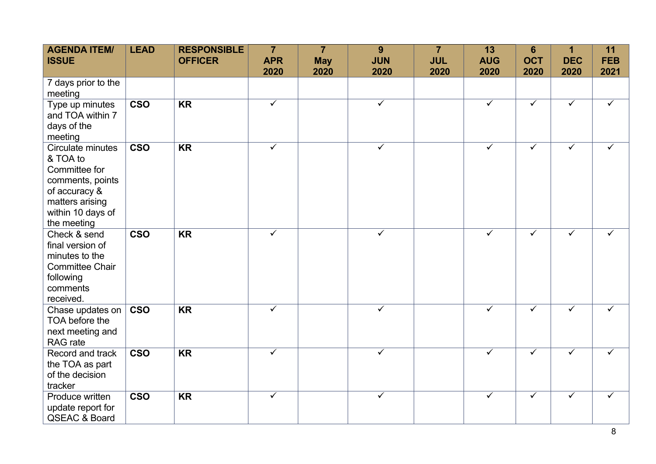| <b>AGENDA ITEM/</b><br><b>ISSUE</b>                                                                                                        | <b>LEAD</b>             | <b>RESPONSIBLE</b><br><b>OFFICER</b> | $\overline{7}$<br><b>APR</b><br>2020 | $\overline{7}$<br><b>May</b><br>2020 | 9<br><b>JUN</b><br>2020 | $\overline{7}$<br><b>JUL</b><br>2020 | 13<br><b>AUG</b><br>2020 | $6\phantom{1}6$<br><b>OCT</b><br>2020 | 1<br><b>DEC</b><br>2020 | 11<br><b>FEB</b><br>2021 |
|--------------------------------------------------------------------------------------------------------------------------------------------|-------------------------|--------------------------------------|--------------------------------------|--------------------------------------|-------------------------|--------------------------------------|--------------------------|---------------------------------------|-------------------------|--------------------------|
| 7 days prior to the<br>meeting                                                                                                             |                         |                                      |                                      |                                      |                         |                                      |                          |                                       |                         |                          |
| Type up minutes<br>and TOA within 7<br>days of the<br>meeting                                                                              | <b>CSO</b>              | <b>KR</b>                            | $\overline{\checkmark}$              |                                      | $\checkmark$            |                                      | $\checkmark$             | $\checkmark$                          | $\checkmark$            | ✓                        |
| Circulate minutes<br>& TOA to<br>Committee for<br>comments, points<br>of accuracy &<br>matters arising<br>within 10 days of<br>the meeting | <b>CSO</b>              | <b>KR</b>                            | $\checkmark$                         |                                      | $\checkmark$            |                                      | $\checkmark$             | $\checkmark$                          | ✓                       | ✓                        |
| Check & send<br>final version of<br>minutes to the<br><b>Committee Chair</b><br>following<br>comments<br>received.                         | $\overline{\text{cso}}$ | <b>KR</b>                            | $\checkmark$                         |                                      | ✓                       |                                      | ✓                        | $\checkmark$                          | ✓                       | ✓                        |
| Chase updates on<br>TOA before the<br>next meeting and<br>RAG rate                                                                         | <b>CSO</b>              | <b>KR</b>                            | $\checkmark$                         |                                      | $\checkmark$            |                                      | ✓                        | $\checkmark$                          | ✓                       | ✓                        |
| Record and track<br>the TOA as part<br>of the decision<br>tracker                                                                          | <b>CSO</b>              | <b>KR</b>                            | $\checkmark$                         |                                      | $\overline{\checkmark}$ |                                      | $\overline{\checkmark}$  | $\overline{\checkmark}$               | $\checkmark$            | ✓                        |
| Produce written<br>update report for<br><b>QSEAC &amp; Board</b>                                                                           | $\overline{\text{cso}}$ | <b>KR</b>                            | $\checkmark$                         |                                      | $\checkmark$            |                                      | $\checkmark$             | $\checkmark$                          | ✓                       | ✓                        |